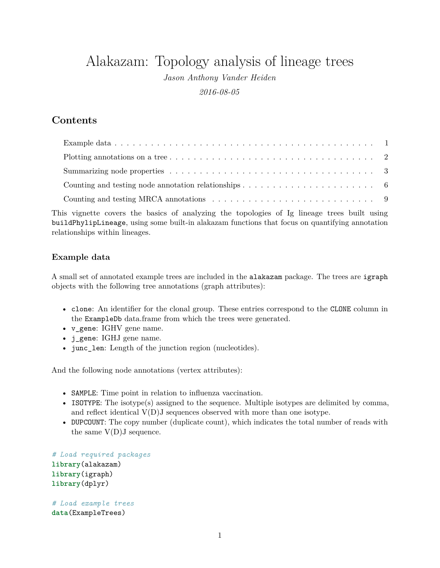# Alakazam: Topology analysis of lineage trees

*Jason Anthony Vander Heiden 2016-08-05*

# **Contents**

This vignette covers the basics of analyzing the topologies of Ig lineage trees built using buildPhylipLineage, using some built-in alakazam functions that focus on quantifying annotation relationships within lineages.

## <span id="page-0-0"></span>**Example data**

A small set of annotated example trees are included in the alakazam package. The trees are igraph objects with the following tree annotations (graph attributes):

- clone: An identifier for the clonal group. These entries correspond to the CLONE column in the ExampleDb data.frame from which the trees were generated.
- v\_gene: IGHV gene name.
- j\_gene: IGHJ gene name.
- junc len: Length of the junction region (nucleotides).

And the following node annotations (vertex attributes):

- SAMPLE: Time point in relation to influenza vaccination.
- ISOTYPE: The isotype(s) assigned to the sequence. Multiple isotypes are delimited by comma, and reflect identical V(D)J sequences observed with more than one isotype.
- DUPCOUNT: The copy number (duplicate count), which indicates the total number of reads with the same  $V(D)J$  sequence.

*# Load required packages* **library**(alakazam) **library**(igraph) **library**(dplyr)

*# Load example trees* **data**(ExampleTrees)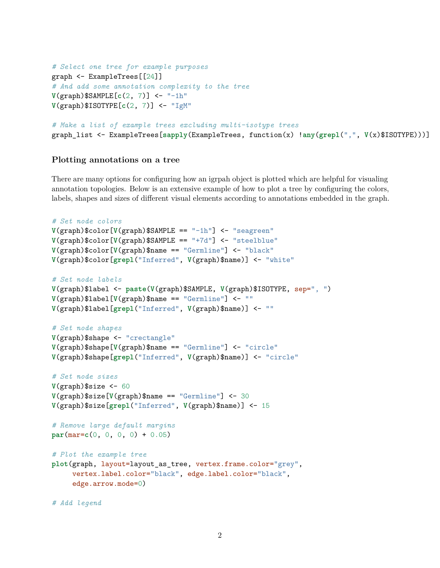```
# Select one tree for example purposes
graph <- ExampleTrees[[24]]
# And add some annotation complexity to the tree
V(graph)$SAMPLE[c(2, 7)] <- "-1h"
V(graph)$ISOTYPE[c(2, 7)] <- "IgM"
# Make a list of example trees excluding multi-isotype trees
```

```
graph_list <- ExampleTrees[sapply(ExampleTrees, function(x) !any(grepl(",", V(x)$ISOTYPE)))]
```
### <span id="page-1-0"></span>**Plotting annotations on a tree**

There are many options for configuring how an igrpah object is plotted which are helpful for visualing annotation topologies. Below is an extensive example of how to plot a tree by configuring the colors, labels, shapes and sizes of different visual elements according to annotations embedded in the graph.

```
# Set node colors
V(graph)$color[V(graph)$SAMPLE == "-1h"] <- "seagreen"
V(graph)$color[V(graph)$SAMPLE == "+7d"] <- "steelblue"
V(graph)$color[V(graph)$name == "Germline"] <- "black"
V(graph)$color[grepl("Inferred", V(graph)$name)] <- "white"
# Set node labels
V(graph)$label <- paste(V(graph)$SAMPLE, V(graph)$ISOTYPE, sep=", ")
V(graph)$label[V(graph)$name == "Germline"] <- ""
V(graph)$label[grepl("Inferred", V(graph)$name)] <- ""
# Set node shapes
V(graph)$shape <- "crectangle"
V(graph)$shape[V(graph)$name == "Germline"] <- "circle"
V(graph)$shape[grepl("Inferred", V(graph)$name)] <- "circle"
# Set node sizes
V(graph)$size <- 60
V(graph)$size[V(graph)$name == "Germline"] <- 30
V(graph)$size[grepl("Inferred", V(graph)$name)] <- 15
# Remove large default margins
par(mar=c(0, 0, 0, 0) + 0.05)
# Plot the example tree
plot(graph, layout=layout_as_tree, vertex.frame.color="grey",
     vertex.label.color="black", edge.label.color="black",
     edge.arrow.mode=0)
```
*# Add legend*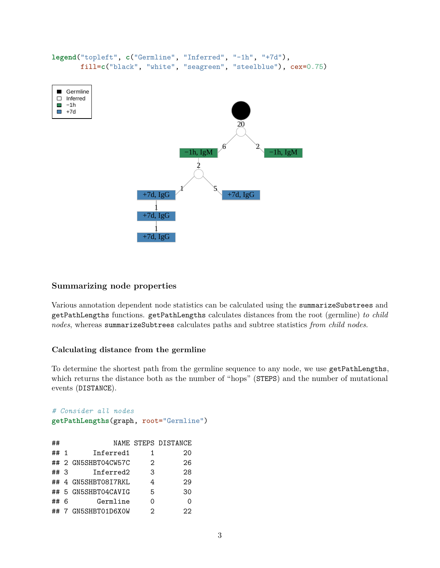

### <span id="page-2-0"></span>**Summarizing node properties**

Various annotation dependent node statistics can be calculated using the summarizeSubstrees and getPathLengths functions. getPathLengths calculates distances from the root (germline) *to child nodes*, whereas summarizeSubtrees calculates paths and subtree statistics *from child nodes*.

#### **Calculating distance from the germline**

To determine the shortest path from the germline sequence to any node, we use getPathLengths, which returns the distance both as the number of "hops" (STEPS) and the number of mutational events (DISTANCE).

```
# Consider all nodes
getPathLengths(graph, root="Germline")
## NAME STEPS DISTANCE
## 1 Inferred1 1 20
## 2 GN5SHBT04CW57C 2
```

|      | ## Z GINOOIIDIOSOWOIG | ╱. | $\lambda$ |
|------|-----------------------|----|-----------|
| ##3  | Inferred2             | 3  | 28        |
|      | ## 4 GN5SHBT08I7RKL   | 4  | 29        |
|      | ## 5 GN5SHBT04CAVIG   | 5  | 30        |
| ## 6 | Germline              | Ω  | 0         |
|      | ## 7 GN5SHBT01D6XOW   | 2  | 22        |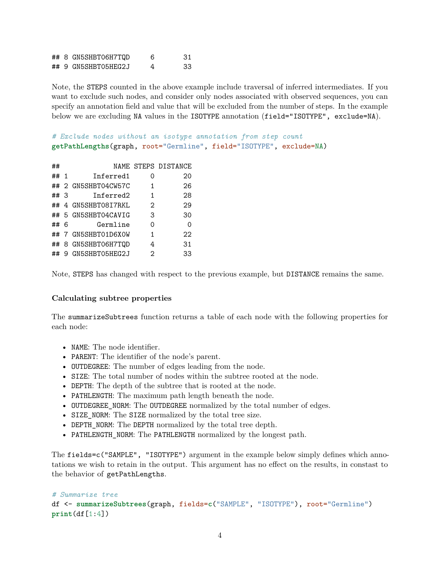|  | ## 8 GN5SHBT06H7TQD | 6 | -31 |
|--|---------------------|---|-----|
|  | ## 9 GN5SHBT05HEG2J | 4 | 33  |

Note, the STEPS counted in the above example include traversal of inferred intermediates. If you want to exclude such nodes, and consider only nodes associated with observed sequences, you can specify an annotation field and value that will be excluded from the number of steps. In the example below we are excluding NA values in the ISOTYPE annotation (field="ISOTYPE", exclude=NA).

*# Exclude nodes without an isotype annotation from step count* **getPathLengths**(graph, root="Germline", field="ISOTYPE", exclude=NA)

| ##  |     |                       |   | NAME STEPS DISTANCE |
|-----|-----|-----------------------|---|---------------------|
| ##  | - 1 | Inferred1             | Ω | 20                  |
|     |     | ## 2 GN5SHBT04CW57C   | 1 | 26                  |
| ##3 |     | Inferred <sub>2</sub> | 1 | 28                  |
| ##  |     | 4 GN5SHBT08I7RKL      | 2 | 29                  |
|     |     | ## 5 GN5SHBT04CAVIG   | 3 | 30                  |
| ##  | 6   | Germline              | Ω | Ω                   |
|     |     | ## 7 GN5SHBT01D6XOW   | 1 | 22                  |
|     |     | ## 8 GN5SHBT06H7TQD   | 4 | 31                  |
| ##  | 9.  | GN5SHBT05HEG2J        | 2 | 33                  |

Note, STEPS has changed with respect to the previous example, but DISTANCE remains the same.

### **Calculating subtree properties**

The summarizeSubtrees function returns a table of each node with the following properties for each node:

- NAME: The node identifier.
- PARENT: The identifier of the node's parent.
- OUTDEGREE: The number of edges leading from the node.
- SIZE: The total number of nodes within the subtree rooted at the node.
- DEPTH: The depth of the subtree that is rooted at the node.
- PATHLENGTH: The maximum path length beneath the node.
- OUTDEGREE NORM: The OUTDEGREE normalized by the total number of edges.
- SIZE NORM: The SIZE normalized by the total tree size.
- DEPTH\_NORM: The DEPTH normalized by the total tree depth.
- PATHLENGTH\_NORM: The PATHLENGTH normalized by the longest path.

The fields=c("SAMPLE", "ISOTYPE") argument in the example below simply defines which annotations we wish to retain in the output. This argument has no effect on the results, in constast to the behavior of getPathLengths.

#### *# Summarize tree*

df <- **summarizeSubtrees**(graph, fields=**c**("SAMPLE", "ISOTYPE"), root="Germline") **print**(df[1:4])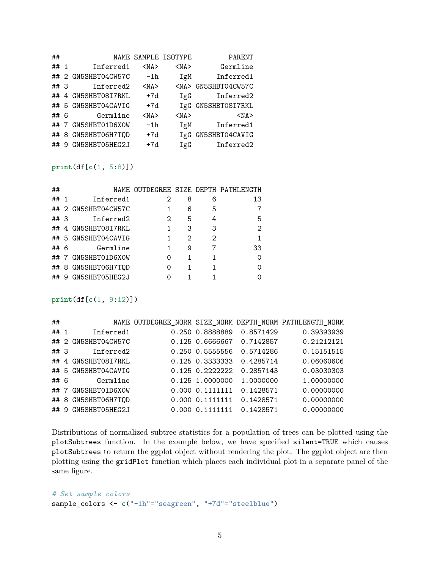| ##     |   |                  |            | NAME SAMPLE ISOTYPE | PARENT         |
|--------|---|------------------|------------|---------------------|----------------|
| ## $1$ |   | Inferred1        | $<$ NA $>$ | $<$ NA $>$          | Germline       |
| ##     |   | 2 GN5SHBT04CW57C | $-1h$      | IgM                 | Inferred1      |
| ## 3   |   | Inferred2        | $<$ NA $>$ | $<$ NA $>$          | GN5SHBT04CW57C |
| ##     |   | 4 GN5SHBT08I7RKL | $+7d$      | IgG                 | Inferred2      |
| ##     |   | 5 GN5SHBT04CAVIG | $+7d$      | IgG                 | GN5SHBT08I7RKL |
| ## 6   |   | Germline         | $<$ NA $>$ | $<$ NA $>$          | $<$ NA $>$     |
| ##     | 7 | GN5SHBT01D6X0W   | $-1h$      | IgM                 | Inferred1      |
| ##     | 8 | GN5SHBT06H7TQD   | $+7d$      | IgG                 | GN5SHBT04CAVIG |
| ##     | 9 | GN5SHBT05HEG2J   | $+7d$      | IgG                 | Inferred2      |

### **print**(df[**c**(1, 5:8)])

| ##   |                     |   |   |   | NAME OUTDEGREE SIZE DEPTH PATHLENGTH |
|------|---------------------|---|---|---|--------------------------------------|
| ## 1 | Inferred1           | 2 | 8 | 6 | 13                                   |
|      | ## 2 GN5SHBT04CW57C |   | 6 | 5 |                                      |
| ##3  | Inferred2           | 2 | 5 | 4 | 5                                    |
|      | ## 4 GN5SHBT08I7RKL | 1 | 3 | 3 | $\mathcal{D}_{1}$                    |
|      | ## 5 GN5SHBT04CAVIG | 1 | 2 | 2 |                                      |
| ## 6 | Germline            | 1 | 9 | 7 | 33                                   |
|      | ## 7 GN5SHBT01D6X0W | 0 | 1 | 1 | $\Omega$                             |
|      | ## 8 GN5SHBT06H7TQD | Ω | 1 | 1 | ∩                                    |
|      | ## 9 GN5SHBT05HEG2J |   |   |   | 0                                    |

#### **print**(df[**c**(1, 9:12)])

| ##   |                     |                 |           | NAME OUTDEGREE_NORM SIZE_NORM DEPTH_NORM PATHLENGTH_NORM |
|------|---------------------|-----------------|-----------|----------------------------------------------------------|
| ## 1 | Inferred1           | 0.250 0.8888889 | 0.8571429 | 0.39393939                                               |
|      | ## 2 GN5SHBT04CW57C | 0.125 0.6666667 | 0.7142857 | 0.21212121                                               |
| ##3  | Inferred2           | 0.250 0.5555556 | 0.5714286 | 0.15151515                                               |
|      | ## 4 GN5SHBT08I7RKL | 0.125 0.3333333 | 0.4285714 | 0.06060606                                               |
|      | ## 5 GN5SHBT04CAVIG | 0.125 0.2222222 | 0.2857143 | 0.03030303                                               |
| ##6  | Germline            | 0.125 1.0000000 | 1.0000000 | 1.00000000                                               |
| ##7  | GN5SHBT01D6X0W      | 0.000 0.1111111 | 0.1428571 | 0.00000000                                               |
|      | ## 8 GN5SHBT06H7TQD | 0.000 0.1111111 | 0.1428571 | 0.00000000                                               |
| ##9  | GN5SHBT05HEG2J      | 0.000 0.1111111 | 0.1428571 | 0.00000000                                               |

Distributions of normalized subtree statistics for a population of trees can be plotted using the plotSubtrees function. In the example below, we have specified silent=TRUE which causes plotSubtrees to return the ggplot object without rendering the plot. The ggplot object are then plotting using the gridPlot function which places each individual plot in a separate panel of the same figure.

## *# Set sample colors* sample\_colors <- **c**("-1h"="seagreen", "+7d"="steelblue")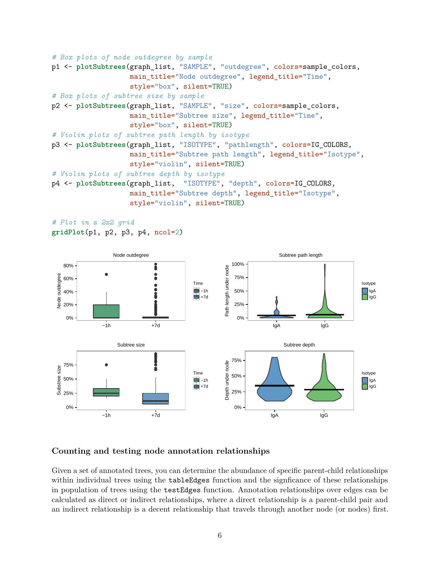```
# Box plots of node outdegree by sample
p1 <- plotSubtrees(graph_list, "SAMPLE", "outdegree", colors=sample_colors,
                   main_title="Node outdegree", legend_title="Time",
                   style="box", silent=TRUE)
# Box plots of subtree size by sample
p2 <- plotSubtrees(graph_list, "SAMPLE", "size", colors=sample_colors,
                   main title="Subtree size", legend title="Time",
                   style="box", silent=TRUE)
# Violin plots of subtree path length by isotype
p3 <- plotSubtrees(graph_list, "ISOTYPE", "pathlength", colors=IG_COLORS,
                   main_title="Subtree path length", legend_title="Isotype",
                   style="violin", silent=TRUE)
# Violin plots of subtree depth by isotype
p4 <- plotSubtrees(graph_list, "ISOTYPE", "depth", colors=IG_COLORS,
                   main_title="Subtree depth", legend_title="Isotype",
                   style="violin", silent=TRUE)
```

```
# Plot in a 2x2 grid
gridPlot(p1, p2, p3, p4, ncol=2)
```


### <span id="page-5-0"></span>**Counting and testing node annotation relationships**

Given a set of annotated trees, you can determine the abundance of specific parent-child relationships within individual trees using the **tableEdges** function and the signficance of these relationships in population of trees using the testEdges function. Annotation relationships over edges can be calculated as direct or indirect relationships, where a direct relationship is a parent-child pair and an indirect relationship is a decent relationship that travels through another node (or nodes) first.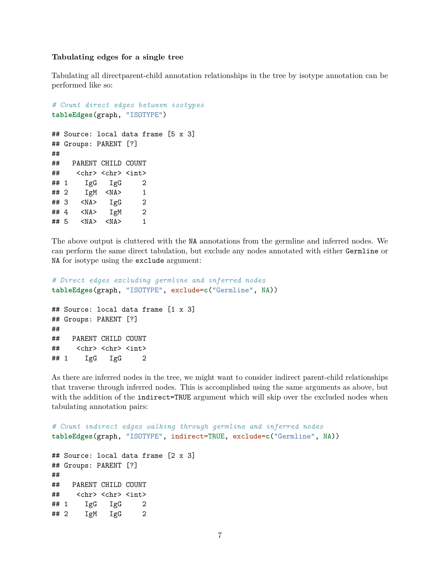#### **Tabulating edges for a single tree**

Tabulating all directparent-child annotation relationships in the tree by isotype annotation can be performed like so:

```
# Count direct edges between isotypes
tableEdges(graph, "ISOTYPE")
## Source: local data frame [5 x 3]
## Groups: PARENT [?]
##
## PARENT CHILD COUNT
## <chr> <chr> <int>
\## 1 IgG IgG 2
## 2 IgM <NA> 1
## 3 <NA> IgG 2
## 4 <NA> IgM 2
## 5 <NA> <NA> 1
```
The above output is cluttered with the NA annotations from the germline and inferred nodes. We can perform the same direct tabulation, but exclude any nodes annotated with either Germline or NA for isotype using the exclude argument:

```
# Direct edges excluding germline and inferred nodes
tableEdges(graph, "ISOTYPE", exclude=c("Germline", NA))
## Source: local data frame [1 x 3]
## Groups: PARENT [?]
##
## PARENT CHILD COUNT
## <chr> <chr> <int>
\## 1 IgG IgG 2
```
As there are inferred nodes in the tree, we might want to consider indirect parent-child relationships that traverse through inferred nodes. This is accomplished using the same arguments as above, but with the addition of the indirect=TRUE argument which will skip over the excluded nodes when tabulating annotation pairs:

```
# Count indirect edges walking through germline and inferred nodes
tableEdges(graph, "ISOTYPE", indirect=TRUE, exclude=c("Germline", NA))
## Source: local data frame [2 x 3]
## Groups: PARENT [?]
##
## PARENT CHILD COUNT
## <chr> <chr> <int>
## 1 IgG IgG 2
## 2 IgM IgG 2
```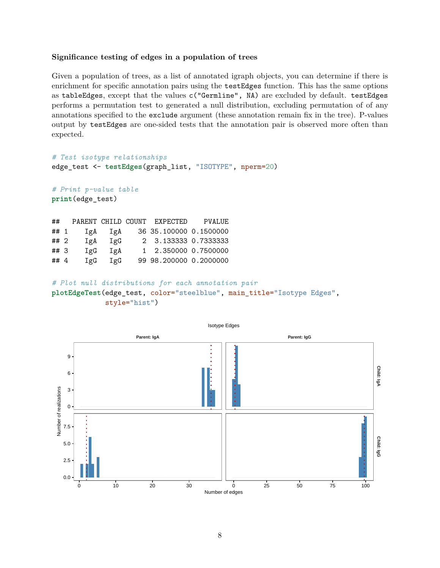#### **Significance testing of edges in a population of trees**

Given a population of trees, as a list of annotated igraph objects, you can determine if there is enrichment for specific annotation pairs using the testEdges function. This has the same options as tableEdges, except that the values c("Germline", NA) are excluded by default. testEdges performs a permutation test to generated a null distribution, excluding permutation of of any annotations specified to the exclude argument (these annotation remain fix in the tree). P-values output by testEdges are one-sided tests that the annotation pair is observed more often than expected.

```
# Test isotype relationships
edge_test <- testEdges(graph_list, "ISOTYPE", nperm=20)
```

```
# Print p-value table
print(edge_test)
```

| ##   |     |     | PARENT CHILD COUNT EXPECTED | PVALUE |
|------|-----|-----|-----------------------------|--------|
| ## 1 | IgA | IgA | 36 35.100000 0.1500000      |        |
| ## 2 | IgA | 1gG | 2 3.133333 0.7333333        |        |
| ##3  | IgG | IgA | 1 2.350000 0.7500000        |        |
| ## 4 | IgG | IgG | 99 98.200000 0.2000000      |        |

```
# Plot null distributions for each annotation pair
```
**plotEdgeTest**(edge\_test, color="steelblue", main\_title="Isotype Edges", style="hist")

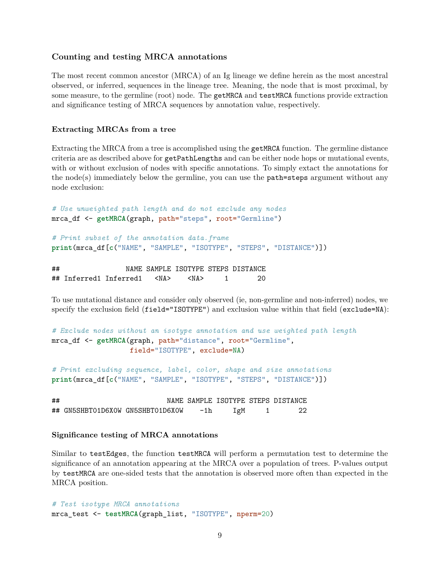#### <span id="page-8-0"></span>**Counting and testing MRCA annotations**

The most recent common ancestor (MRCA) of an Ig lineage we define herein as the most ancestral observed, or inferred, sequences in the lineage tree. Meaning, the node that is most proximal, by some measure, to the germline (root) node. The getMRCA and testMRCA functions provide extraction and significance testing of MRCA sequences by annotation value, respectively.

#### **Extracting MRCAs from a tree**

Extracting the MRCA from a tree is accomplished using the getMRCA function. The germline distance criteria are as described above for getPathLengths and can be either node hops or mutational events, with or without exclusion of nodes with specific annotations. To simply extact the annotations for the node(s) immediately below the germline, you can use the  $path=steps$  argument without any node exclusion:

```
# Use unweighted path length and do not exclude any nodes
mrca_df <- getMRCA(graph, path="steps", root="Germline")
# Print subset of the annotation data.frame
print(mrca_df[c("NAME", "SAMPLE", "ISOTYPE", "STEPS", "DISTANCE")])
```
## NAME SAMPLE ISOTYPE STEPS DISTANCE ## Inferred1 Inferred1 <NA> <NA> 1 20

To use mutational distance and consider only observed (ie, non-germline and non-inferred) nodes, we specify the exclusion field (field="ISOTYPE") and exclusion value within that field (exclude=NA):

```
# Exclude nodes without an isotype annotation and use weighted path length
mrca_df <- getMRCA(graph, path="distance", root="Germline",
                   field="ISOTYPE", exclude=NA)
```

```
# Print excluding sequence, label, color, shape and size annotations
print(mrca_df[c("NAME", "SAMPLE", "ISOTYPE", "STEPS", "DISTANCE")])
```

| ## |                                  |     |     | NAME SAMPLE ISOTYPE STEPS DISTANCE |
|----|----------------------------------|-----|-----|------------------------------------|
|    | ## GN5SHBT01D6XOW GN5SHBT01D6XOW | -1h | IgM |                                    |

#### **Significance testing of MRCA annotations**

Similar to testEdges, the function testMRCA will perform a permutation test to determine the significance of an annotation appearing at the MRCA over a population of trees. P-values output by testMRCA are one-sided tests that the annotation is observed more often than expected in the MRCA position.

```
# Test isotype MRCA annotations
mrca_test <- testMRCA(graph_list, "ISOTYPE", nperm=20)
```